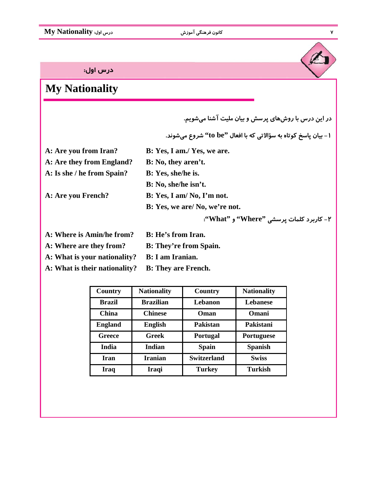درس اول:

## **My Nationality**

**در اين درس با روش هاي پرسش و بيان مليت آشنا مي شويم.** 

**-1 بيان پاسخ كوتاه به سؤالاتي كه با افعال "be to "شروع مي شوند.** 

**A: Are you from Iran? B: Yes, I am./ Yes, we are.**

**A: Are they from England? B: No, they aren't. A: Is she / he from Spain? B: Yes, she/he is.**

**B: No, she/he isn't.**

**A: Are you French? B: Yes, I am/ No, I'm not.**

**B: Yes, we are/ No, we're not.**

**-2 كاربرد كلمات پرسشي "Where "و "What":** 

- **A: Where is Amin/he from? B: He's from Iran.**
- **A: Where are they from? B: They're from Spain.**
- **A: What is your nationality? B: I am Iranian.**

**A: What is their nationality? B: They are French.**

| Country        | <b>Nationality</b> | Country            | <b>Nationality</b> |
|----------------|--------------------|--------------------|--------------------|
| <b>Brazil</b>  | <b>Brazilian</b>   | Lebanon            | <b>Lebanese</b>    |
| China          | <b>Chinese</b>     | Oman               | Omani              |
| <b>England</b> | <b>English</b>     | Pakistan           | Pakistani          |
| Greece         | Greek              | <b>Portugal</b>    | Portuguese         |
| <b>India</b>   | Indian             | <b>Spain</b>       | <b>Spanish</b>     |
| Iran           | <b>Iranian</b>     | <b>Switzerland</b> | <b>Swiss</b>       |
| <b>Iraq</b>    | Iraqi              | <b>Turkey</b>      | <b>Turkish</b>     |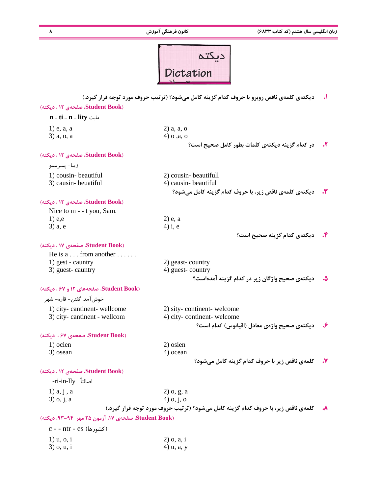**زبان انگليسي سال هشتم (كد كتاب6833:) كانون فرهنگي آموزش 8** 

| Dictation |
|-----------|
|           |

**.1 ديكته ي كلمه ي ناقص روبرو با حروف كدام گزينه كامل مي شود؟ (ترتيب حروف مورد توجه قرار گيرد.)**

### **(Book Student، صفحه ي 12 ، ديكته)**

| n _ ti _ n _ lity مليت                              |                                                                                  |    |
|-----------------------------------------------------|----------------------------------------------------------------------------------|----|
| $1)$ e, a, a                                        | $2)$ a, a, o                                                                     |    |
| 3) a, o, a                                          | 4) o ,a, o                                                                       |    |
|                                                     | در كدام گزينه ديكتهي كلمات بطور كامل صحيح است؟                                   | ۲. |
| (Student Book، صفحهی ١٢، دیکته)                     |                                                                                  |    |
| زيبا- پسرعمو                                        |                                                                                  |    |
| 1) cousin-beautiful                                 | 2) cousin-beautifull                                                             |    |
| 3) causin-beuatiful                                 | 4) causin-beautiful                                                              |    |
|                                                     | ديكتەي كلمەي ناقص زير، با حروف كدام گزينه كامل مى شود؟                           |    |
| (Student Book، صفحهی ۱۲، دیکته)                     |                                                                                  |    |
| Nice to m - - t you, Sam.                           |                                                                                  |    |
| $1)$ e,e                                            | $2)$ e, a                                                                        |    |
| 3) a, e                                             | $4$ ) i, e                                                                       |    |
|                                                     | ديكتهي كدام گزينه صحيح است؟                                                      |    |
| (Student Book، صفحهی ۱۷، دیکته)                     |                                                                                  |    |
| He is $a \dots$ from another $\dots$ .              |                                                                                  |    |
| 1) gest - cauntry                                   | 2) geast-country                                                                 |    |
| 3) guest-cauntry                                    | 4) guest-country                                                                 |    |
|                                                     | دیکتهی صحیح واژگان زیر در کدام گزینه آمدهاست؟                                    |    |
| (Student Book، صفحههای ١٢ و ۶۷، دیکته)              |                                                                                  |    |
| خوش آمد گفتن– قاره– شهر                             |                                                                                  |    |
| 1) city-cantinent-wellcome                          | 2) sity-continent-welcome                                                        |    |
| 3) city-cantinent - wellcom                         | 4) city-continent-welcome                                                        |    |
|                                                     | ديكتەي صحيح واژەي معادل (اقيانوس) كدام است؟                                      |    |
| (Student Book، صفحهی ۶۷، دیکته)                     |                                                                                  |    |
| 1) ocien                                            | 2) osien                                                                         |    |
| 3) osean                                            | 4) ocean                                                                         |    |
|                                                     | كلمهي ناقص زير با حروف كدام گزينه كامل مي شود؟                                   |    |
| (Student Book، صفحهی ۱۲، دیکته)                     |                                                                                  |    |
| -ri-in-lly أصالتاً                                  |                                                                                  |    |
| $1)$ a, $j$ , a                                     | $2)$ o, g, a                                                                     |    |
| 3) o, j, a                                          | $4)$ o, j, o                                                                     |    |
|                                                     | کلمهی ناقص زیر، با حروف کدام گزینه کامل میشود؟ (ترتیب حروف مورد توجه قرار گیرد.) | ۸. |
| (Student Book، صفحهی ١٧، آزمون ٢۵ مهر ۹۴-۹۳، دیکته) |                                                                                  |    |
| (کشورها) c - - ntr - es                             |                                                                                  |    |
| $l$ ) $u$ , $o$ , $i$                               | $2)$ o, a, i                                                                     |    |
| $3)$ o, $u, i$                                      | 4) u, a, y                                                                       |    |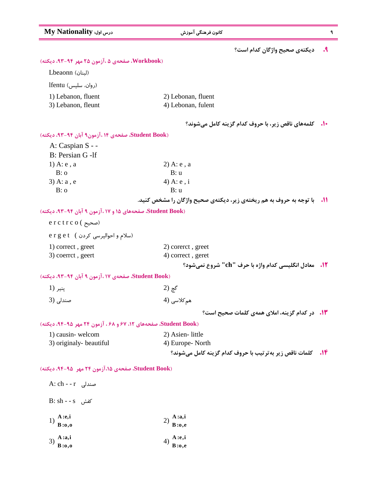| My Nationality درس اول:                                       | کانون فرهنگی آموزش                                                  | ٩       |
|---------------------------------------------------------------|---------------------------------------------------------------------|---------|
|                                                               | ديكتهى صحيح واژگان كدام است؟                                        | $\cdot$ |
| (Workbook، صفحهی ۵ ،آزمون ۲۵ مهر ۹۴-۹۳، دیکته)                |                                                                     |         |
| (لبنان) Lbeaonn                                               |                                                                     |         |
| (روان، سلیس) lfentu                                           |                                                                     |         |
| 1) Lebanon, fluent                                            | 2) Lebonan, fluent                                                  |         |
| 3) Lebanon, fleunt                                            | 4) Lebonan, fulent                                                  |         |
|                                                               | <b>۰۱۰ کلمههای ناقص زیر، با حروف کدام گزینه کامل میشوند؟</b>        |         |
| (Student Book، صفحهی ١۴، آزمون۹ آبان ۹۴-۹۳، دیکته)            |                                                                     |         |
| A: Caspian S - -                                              |                                                                     |         |
| B: Persian G -If                                              |                                                                     |         |
| 1) A: $e$ , a                                                 | $2)$ A: e, a                                                        |         |
| B: o                                                          | B: u                                                                |         |
| $3)$ A: a, e                                                  | 4) A: $e$ , i                                                       |         |
| B: o                                                          | B: u                                                                |         |
|                                                               | با توجه به حروف به هم ریختهی زیر، دیکتهی صحیح واژگان را مشخص کنید.  |         |
| (Student Book، صفحههای ۱۵ و ۱۷، آزمون ۹ آبان ۹۴-۹۳، دیکته)    |                                                                     |         |
| $erctrco($ صحيح)                                              |                                                                     |         |
| erget (سلام و احوالپرسی کردن)                                 |                                                                     |         |
| 1) correct, greet                                             | 2) corerct, greet                                                   |         |
| 3) coerrct, geert                                             | 4) correct, geret                                                   |         |
|                                                               | <b>12. معادل انگلیسی کدام واژه با حرف "ch" شروع نمی شود؟</b>        |         |
| Student Book)، صفحهی ۱۷، آزمون ۹ آبان ۹۴-۹۳، دیکته)           |                                                                     |         |
| پنير (1                                                       | گچ (2                                                               |         |
| صندلی (3                                                      | ھم کلاسی (4                                                         |         |
|                                                               | <b>۱۳.</b> در کدام گزینه، املای همهی کلمات صحیح است؟                |         |
| Student Book) صفحههای ۱۲، ۶۷ و ۶۸، آزمون ۲۴ مهر ۹۵-۹۴، دیکته) |                                                                     |         |
| 1) causin-welcom                                              | 2) Asien-little                                                     |         |
| 3) originaly-beautiful                                        | 4) Europe-North                                                     |         |
|                                                               | <b>۱۴.</b> کلمات ناقص زیر به ترتیب با حروف کدام گزینه کامل می شوند؟ |         |
| Student Book)، صفحهی ۱۵، آزمون ۲۴ مهر ۹۵-۹۴، دیکته)           |                                                                     |         |
| A: ch - - r صندلی                                             |                                                                     |         |
| کفش B: sh - - s                                               |                                                                     |         |
| A :e,i                                                        | A:aj                                                                |         |
| 1)<br>B:0,0                                                   | 2)<br>$B:$ o,e                                                      |         |

- 1)  $\frac{4 \cdot 4}{B \cdot 0,0}$
- 3) **A :a,i B**:0,0 <br> **B**:0,0 <br> **B**:0,e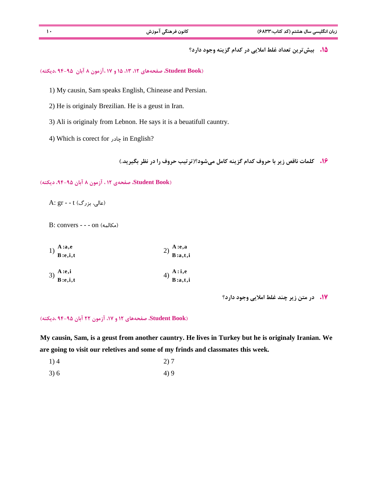**زبان انگليسي سال هشتم (كد كتاب6833:) كانون فرهنگي آموزش 10** 

**.15 بيش ترين تعداد غلط املايي در كدام گزينه وجود دارد؟** 

**(Book Student، صفحه هاي ،12 ،13 15 و 17 ،آزمون 8 آبان 94-95 ،ديكته)**

1) My causin, Sam speaks English, Chinease and Persian.

2) He is originaly Brezilian. He is a geust in Iran.

3) Ali is originaly from Lebnon. He says it is a beuatifull cauntry.

4) Which is corect for چادر in English?

**.16 كلمات ناقص زير با حروف كدام گزينه كامل مي شود؟(ترتيب حروف را در نظر بگيريد.)**

 **(Book Student، صفحه ي 12 ، آزمون 8 آبان ،94-95 ديكته)**

A:  $gr - t$  (عالی، بزرگ)

B: convers - - - on (مكالمه(

| 1) $\frac{A:a,e}{B:e,i,t}$ | 2) $\frac{A:e,a}{B:a,t,i}$ |
|----------------------------|----------------------------|
| 3) $\frac{A:e,i}{B:e,i,t}$ | 4) $\frac{A:i,e}{B:a,t,i}$ |

**.17 در متن زير چند غلط املايي وجود دارد؟** 

#### **(Book Student، صفحه هاي 12 و ،17 آزمون 22 آبان 94-95 ،ديكته)**

**My causin, Sam, is a geust from another cauntry. He lives in Turkey but he is originaly Iranian. We are going to visit our reletives and some of my frinds and classmates this week.**

1) 4 2) 7

 $3) 6$  4) 9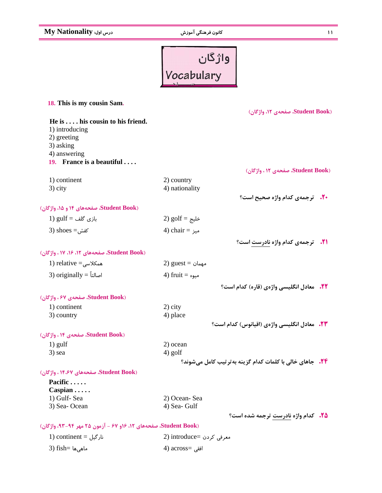**11 كانون فرهنگي آموزش درس اول: Nationality My**

# واژگان<br>Vocabulary

| 18. This is my cousin Sam.                                       |                                                                |  |
|------------------------------------------------------------------|----------------------------------------------------------------|--|
|                                                                  | (Student Book، صفحهی ١٢، واژگان)                               |  |
| He is his cousin to his friend.<br>1) introducing<br>2) greeting |                                                                |  |
| 3) asking<br>4) answering                                        |                                                                |  |
| 19. France is a beautiful                                        |                                                                |  |
|                                                                  | (Student Book، صفحهی ١٢، واژگان)                               |  |
| 1) continent                                                     | 2) country                                                     |  |
| 3) city                                                          | 4) nationality                                                 |  |
|                                                                  | <b>۰۲۰</b> ترجمهی کدام واژه صحیح است؟                          |  |
| (Student Book، صفحههای ۱۴ و ۱۵، واژگان)                          |                                                                |  |
| $1)$ gulf = بازی گلف                                             | 2) $g$ olf = خليج                                              |  |
| 3) shoes $=$ کفش                                                 | 4) chair = میز                                                 |  |
|                                                                  | <b>31.</b> ترجمهی کدام واژه نادرست است؟                        |  |
| (Student Book، صفحههای ۱۲، ۱۶، ۱۷، واژگان)                       |                                                                |  |
| 1) relative = $\epsilon$ همکلاسی                                 | 2) guest = مهمان                                               |  |
| 3) originally = اصالتاً                                          | 4) fruit = میوه                                                |  |
|                                                                  |                                                                |  |
|                                                                  | <b>۲۲.</b> معادل انگلیسی واژهی (قاره) کدام است؟                |  |
| (Student Book، صفحهی ۶۷، واژگان)                                 |                                                                |  |
| 1) continent                                                     | $2)$ city                                                      |  |
| 3) country                                                       | 4) place<br><b>۲۳.</b> معادل انگلیسی واژهی (اقیانوس) کدام است؟ |  |
| (Student Book، صفحهی ۱۴، واژگان)                                 |                                                                |  |
| $1)$ gulf                                                        | 2) ocean                                                       |  |
| 3) sea                                                           | 4) golf                                                        |  |
|                                                                  | <b>۲۴.</b> جاهای خالی با کلمات کدام گزینه بهترتیب کامل میشوند؟ |  |
| (Student Book، صفحههای ۱۴،۶۷، واژگان)                            |                                                                |  |
| Pacific                                                          |                                                                |  |
| $Caspian \ldots$                                                 |                                                                |  |
| 1) Gulf-Sea                                                      | 2) Ocean-Sea                                                   |  |
| 3) Sea-Ocean                                                     | 4) Sea- Gulf                                                   |  |
|                                                                  | <b>۲۵.</b> کدام واژه نادرست ترجمه شده است؟                     |  |
| Student Book)، صفحههای ۱۲، ۱۶و ۶۷ - آزمون ۲۵ مهر ۹۴-۹۳، واژگان)  |                                                                |  |
| $1)$ continent = نارگیل                                          | 2) introduce= معرفی کردن                                       |  |

افقي =across) 4 ماهي ها =fish) 3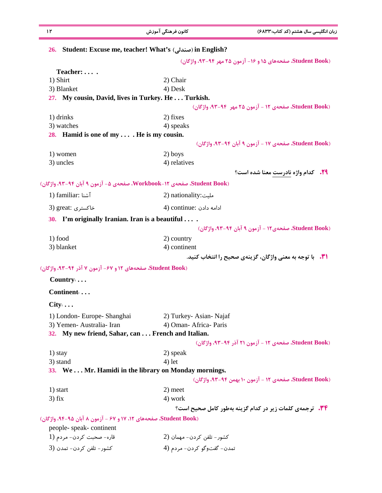| Student: Excuse me, teacher! What's (صندلی) in English?<br>2) Chair<br>4) Desk<br>27. My cousin, David, lives in Turkey. He Turkish.<br>2) fixes<br>4) speaks | Student Book). صفحههای ۱۵ و ۱۶- آزمون ۲۵ مهر ۹۴-۹۳، واژگان)<br>Student Book) صفحهی ١٢ - آزمون ٢۵ مهر ٩٣-٩٣، واژگان)                                                                                                                                                                                                                                                                                                                                                                                                                        |
|---------------------------------------------------------------------------------------------------------------------------------------------------------------|--------------------------------------------------------------------------------------------------------------------------------------------------------------------------------------------------------------------------------------------------------------------------------------------------------------------------------------------------------------------------------------------------------------------------------------------------------------------------------------------------------------------------------------------|
|                                                                                                                                                               |                                                                                                                                                                                                                                                                                                                                                                                                                                                                                                                                            |
|                                                                                                                                                               |                                                                                                                                                                                                                                                                                                                                                                                                                                                                                                                                            |
|                                                                                                                                                               |                                                                                                                                                                                                                                                                                                                                                                                                                                                                                                                                            |
|                                                                                                                                                               |                                                                                                                                                                                                                                                                                                                                                                                                                                                                                                                                            |
|                                                                                                                                                               |                                                                                                                                                                                                                                                                                                                                                                                                                                                                                                                                            |
|                                                                                                                                                               |                                                                                                                                                                                                                                                                                                                                                                                                                                                                                                                                            |
|                                                                                                                                                               |                                                                                                                                                                                                                                                                                                                                                                                                                                                                                                                                            |
|                                                                                                                                                               |                                                                                                                                                                                                                                                                                                                                                                                                                                                                                                                                            |
|                                                                                                                                                               |                                                                                                                                                                                                                                                                                                                                                                                                                                                                                                                                            |
|                                                                                                                                                               |                                                                                                                                                                                                                                                                                                                                                                                                                                                                                                                                            |
|                                                                                                                                                               | (Student Book، صفحهی ١٧ - آزمون ٩ آبان ٩٣-٩٣، واژگان)                                                                                                                                                                                                                                                                                                                                                                                                                                                                                      |
| 2) boys                                                                                                                                                       |                                                                                                                                                                                                                                                                                                                                                                                                                                                                                                                                            |
| 4) relatives                                                                                                                                                  |                                                                                                                                                                                                                                                                                                                                                                                                                                                                                                                                            |
|                                                                                                                                                               | <b>۲۹.</b> کدام واژه نادرست معنا شده است؟                                                                                                                                                                                                                                                                                                                                                                                                                                                                                                  |
| Student Book)، صفحهی Workbook-۱۲، صفحهی ۵- آزمون ۹ آبان ۹۴-۹۳، واژگان)                                                                                        |                                                                                                                                                                                                                                                                                                                                                                                                                                                                                                                                            |
| 2) nationality:ملیت                                                                                                                                           |                                                                                                                                                                                                                                                                                                                                                                                                                                                                                                                                            |
| 4) continue: ادامه دادن                                                                                                                                       |                                                                                                                                                                                                                                                                                                                                                                                                                                                                                                                                            |
|                                                                                                                                                               |                                                                                                                                                                                                                                                                                                                                                                                                                                                                                                                                            |
|                                                                                                                                                               | (Student Book، صفحهي ١٢ - آزمون ٩ آبان ٩٢-٩٣، واژكان)                                                                                                                                                                                                                                                                                                                                                                                                                                                                                      |
|                                                                                                                                                               |                                                                                                                                                                                                                                                                                                                                                                                                                                                                                                                                            |
|                                                                                                                                                               |                                                                                                                                                                                                                                                                                                                                                                                                                                                                                                                                            |
|                                                                                                                                                               | <b>\").</b> با توجه به معنی واژگان، گزینهی صحیح را انتخاب کنید.                                                                                                                                                                                                                                                                                                                                                                                                                                                                            |
|                                                                                                                                                               |                                                                                                                                                                                                                                                                                                                                                                                                                                                                                                                                            |
|                                                                                                                                                               |                                                                                                                                                                                                                                                                                                                                                                                                                                                                                                                                            |
|                                                                                                                                                               |                                                                                                                                                                                                                                                                                                                                                                                                                                                                                                                                            |
|                                                                                                                                                               |                                                                                                                                                                                                                                                                                                                                                                                                                                                                                                                                            |
|                                                                                                                                                               |                                                                                                                                                                                                                                                                                                                                                                                                                                                                                                                                            |
|                                                                                                                                                               |                                                                                                                                                                                                                                                                                                                                                                                                                                                                                                                                            |
|                                                                                                                                                               |                                                                                                                                                                                                                                                                                                                                                                                                                                                                                                                                            |
|                                                                                                                                                               | Student Book)، صفحهی ۱۲ - آزمون ۲۱ آذر ۹۴-۹۳، واژگان)                                                                                                                                                                                                                                                                                                                                                                                                                                                                                      |
|                                                                                                                                                               |                                                                                                                                                                                                                                                                                                                                                                                                                                                                                                                                            |
|                                                                                                                                                               |                                                                                                                                                                                                                                                                                                                                                                                                                                                                                                                                            |
|                                                                                                                                                               |                                                                                                                                                                                                                                                                                                                                                                                                                                                                                                                                            |
|                                                                                                                                                               | Student Book) صفحهی ۱۲ - آزمون ۱۰ بهمن ۹۴-۹۳، واژگان)                                                                                                                                                                                                                                                                                                                                                                                                                                                                                      |
|                                                                                                                                                               |                                                                                                                                                                                                                                                                                                                                                                                                                                                                                                                                            |
|                                                                                                                                                               |                                                                                                                                                                                                                                                                                                                                                                                                                                                                                                                                            |
|                                                                                                                                                               | <b>۳۴. ترجمهی کلمات زیر در کدام گزینه بهطور کامل صحیح است؟</b>                                                                                                                                                                                                                                                                                                                                                                                                                                                                             |
|                                                                                                                                                               |                                                                                                                                                                                                                                                                                                                                                                                                                                                                                                                                            |
|                                                                                                                                                               |                                                                                                                                                                                                                                                                                                                                                                                                                                                                                                                                            |
|                                                                                                                                                               |                                                                                                                                                                                                                                                                                                                                                                                                                                                                                                                                            |
|                                                                                                                                                               |                                                                                                                                                                                                                                                                                                                                                                                                                                                                                                                                            |
|                                                                                                                                                               | 28. Hamid is one of my $\dots$ . He is my cousin.<br>I'm originally Iranian. Iran is a beautiful<br>2) country<br>4) continent<br>Student Book)، صفحههای ١٢ و ۶۷- آزمون ٧ آذر ۹۴-۹۳، واژگان)<br>2) Turkey- Asian-Najaf<br>4) Oman-Africa-Paris<br>32. My new friend, Sahar, can  French and Italian.<br>2) speak<br>$4)$ let<br>33. WeMr. Hamidi in the library on Monday mornings.<br>2) meet<br>4) work<br>Student Book)، صفحههای ١٢، ١٧ و ۶٧ - آزمون ٨ آبان ٩٥-٩۴، واژگان)<br>کشور – تلفن کردن – مهمان (2<br>تمدن- گفتوگو كردن- مردم (4 |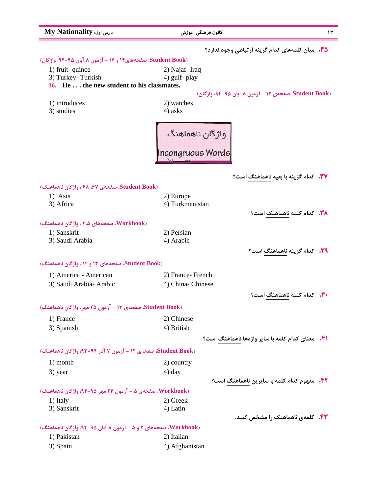| My Nationality :درس اول                                         | كانون فرهنگى آموزش                                      | ۱۳                                                 |
|-----------------------------------------------------------------|---------------------------------------------------------|----------------------------------------------------|
|                                                                 | <b>۳۵.</b> میان کلمههای کدام گزینه ارتباطی وجود ندارد؟  |                                                    |
| Student Book) صفحههای ۱۴ و ۱۶ - آزمون ۸ آبان ۹۵-۹۴، واژگان)     |                                                         |                                                    |
| 1) fruit-quince                                                 | 2) Najaf-Iraq                                           |                                                    |
| 3) Turkey-Turkish                                               | 4) gulf- play                                           |                                                    |
| 36. He the new student to his classmates.                       |                                                         |                                                    |
|                                                                 | Student Book)، صفحهی ۱۲ - آزمون ۸ آبان ۹۵-۹۴، واژگان)   |                                                    |
| 1) introduces                                                   | 2) watches                                              |                                                    |
| 3) studies                                                      | 4) asks                                                 |                                                    |
|                                                                 | واژگان ناهماهنگ<br> <br> Incongruous Words              |                                                    |
|                                                                 |                                                         | <b>۳۷.</b> کدام گزینه با بقیه ناهماهنگ است؟        |
| (Student Book، صفحهی ۶۷، ۶۸، واژگان ناهماهنگ)                   |                                                         |                                                    |
| 1) Asia                                                         | 2) Europe                                               |                                                    |
| 3) Africa                                                       | 4) Turkmenistan                                         |                                                    |
|                                                                 |                                                         | <b>۳۸.</b> کدام کلمه ناهماهنگ است؟                 |
| (Workbook، صفحههای ۲،۵، واژگان ناهماهنگ)                        |                                                         |                                                    |
| 1) Sanskrit                                                     | 2) Persian                                              |                                                    |
| 3) Saudi Arabia                                                 | 4) Arabic                                               |                                                    |
|                                                                 |                                                         | <b>۳۹.</b> کدام گزینه ناهماهنگ است؟                |
| (Student Book، صفحههای ۱۳ و ۱۴، واژگان ناهماهنگ)                |                                                         |                                                    |
| 1) America - American                                           | 2) France-French                                        |                                                    |
| 3) Saudi Arabia- Arabic                                         | 4) China-Chinese                                        |                                                    |
|                                                                 |                                                         |                                                    |
|                                                                 |                                                         | <b>۴۰.</b> کدام کلمه ناهماهنگ است؟                 |
| (Student Book، صفحهی ۱۳ – آزمون ۲۵ مهر، واژگان ناهماهنگ)        |                                                         |                                                    |
| 1) France                                                       | 2) Chinese                                              |                                                    |
| 3) Spanish                                                      | 4) British                                              |                                                    |
|                                                                 | <b>۴۱.</b> معنای کدام کلمه با سایر واژهها ناهماهنگ است؟ |                                                    |
| Student Book)، صفحهی ١٢ - آزمون ٧ آذر ٩٤-٩٣، واژگان ناهماهنگ)   |                                                         |                                                    |
| 1) month                                                        | 2) country                                              |                                                    |
| 3) year                                                         | $4)$ day                                                |                                                    |
|                                                                 |                                                         | <b>۴۲.</b> مفهوم کدام کلمه با سایرین ناهماهنگ است؟ |
| (Workbook، صفحهی ۵ - آزمون ۲۴ مهر ۹۵-۹۴، واژگان ناهماهنگ)       |                                                         |                                                    |
| 1) Italy                                                        | 2) Greek                                                |                                                    |
| 3) Sanskrit                                                     | 4) Latin                                                |                                                    |
|                                                                 |                                                         | <b>۴۳.</b> کلمهی ناهماهنگ را مشخص کنید.            |
| (Workbook، صفحههای ۲ و ۵ - آزمون ۸ آبان ۹۵-۹۴، واژگان ناهماهنگ) |                                                         |                                                    |
| 1) Pakistan                                                     | 2) Italian                                              |                                                    |
| 3) Spain                                                        | 4) Afghanistan                                          |                                                    |
|                                                                 |                                                         |                                                    |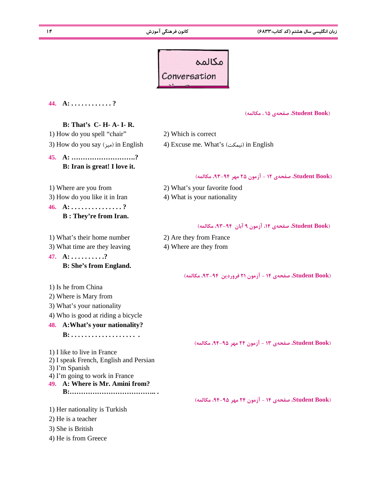**زبان انگليسي سال هشتم (كد كتاب6833:) كانون فرهنگي آموزش 14** 



#### **44. A: . . . . . . . . . . . . ?**

**(Book Student، صفحه ي 15 ، مكالمه)**

#### **B: That's C- H- A- I- R.**

1) How do you spell "chair" 2) Which is correct

**45. A: ……………………….? B: Iran is great! I love it.**

**46. A: . . . . . . . . . . . . . . . ? B : They're from Iran.**

1) What's their home number 2) Are they from France 3) What time are they leaving 4) Where are they from **47. A: . . . . . . . . . .? B: She's from England.**

## 1) Is he from China 2) Where is Mary from 3) What's your nationality 4) Who is good at riding a bicycle **48. A:What's your nationality? B: . . . . . . . . . . . . . . . . . . . .** 1) I like to live in France 2) I speak French, English and Persian 3) I'm Spanish 4) I'm going to work in France **49. A: Where is Mr. Amini from? B:……………………………….. .**

1) Her nationality is Turkish 2) He is a teacher 3) She is British 4) He is from Greece

3) How do you say (ميز) in English 4) Excuse me. What's (ميزا) in English

#### **(Book Student، صفحه ي 12 - آزمون 25 مهر ،93-94 مكالمه)**

- 1) Where are you from 2) What's your favorite food
- 3) How do you like it in Iran 4) What is your nationality

#### **(Book Student، صفحه ي ،14 آزمون 9 آبان ،93-94 مكالمه)**

- 
- 

**(Book Student، صفحه ي 14 - آزمون 21 فروردين ،93-94 مكالمه)**

**(Book Student، صفحه ي 13 - آزمون 24 مهر ،94-95 مكالمه)**

**(Book Student، صفحه ي 14 - آزمون 24 مهر ،94-95 مكالمه)**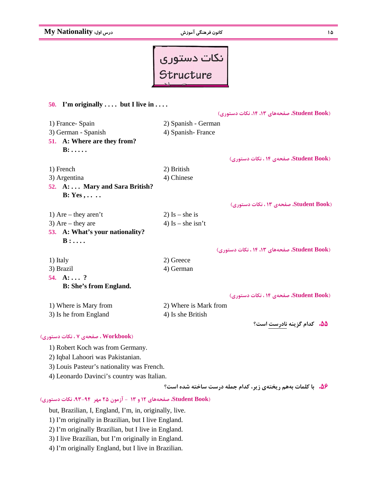**15 كانون فرهنگي آموزش درس اول: Nationality My**



#### **50. I'm originally . . . . but I live in . . . .**

 **(Book Student، صفحه هاي ،13 ،14 نكات دستوري)** 1) France- Spain 2) Spanish - German 3) German - Spanish 4) Spanish-France **51. A: Where are they from? B: . . . . . (Book Student، صفحه ي 14 ، نكات دستوري)** 1) French 2) British 3) Argentina (4) Chinese **52. A: . . . Mary and Sara British? B: Yes , . . . . (Book Student، صفحه ي 13 ، نكات دستوري)** 1) Are – they aren't 2) Is – she is 3) Are – they are  $4)$  Is – she isn't **53. A: What's your nationality? B : . . . . (Book Student، صفحه هاي ،13 14 ، نكات دستوري)** 1) Italy 2) Greece 3) Brazil 4) German **54. A: . . . ? B: She's from England. (Book Student، صفحه ي 14 ، نكات دستوري)** 1) Where is Mary from 2) Where is Mark from 3) Is he from England 4) Is she British **.55 كدام گزينه نادرست است؟ (Workbook ، صفحه ي 7 ، نكات دستوري)** 1) Robert Koch was from Germany. 2) Iqbal Lahoori was Pakistanian. 3) Louis Pasteur's nationality was French.

4) Leonardo Davinci's country was Italian.

**.56 با كلمات به هم ريخته ي زير، كدام جمله درست ساخته شده است؟**

**(Book Student، صفحه هاي 12 و 13 - آزمون 25 مهر ،93-94 نكات دستوري)**

but, Brazilian, I, England, I'm, in, originally, live.

1) I'm originally in Brazilian, but I live England.

2) I'm originally Brazilian, but I live in England.

3) I live Brazilian, but I'm originally in England.

4) I'm originally England, but I live in Brazilian.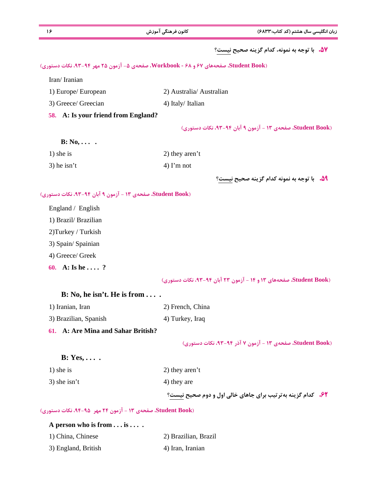| ۱۶                                                         | كانون فرهنگى آموزش                                                                   | زبان انگلیسی سال هشتم (کد کتاب:۶۸۳۳)                               |
|------------------------------------------------------------|--------------------------------------------------------------------------------------|--------------------------------------------------------------------|
|                                                            |                                                                                      | ۵۷. با توجه به نمونه، کدام گزینه صحیح نیست؟                        |
|                                                            | (Student Book، صفحههای ۶۷ و ۶۸ - Workbook، صفحهی ۵- آزمون ۲۵ مهر ۹۴-۹۳، نکات دستوری) |                                                                    |
| Iran/Iranian                                               |                                                                                      |                                                                    |
| 1) Europe/ European                                        | 2) Australia/ Australian                                                             |                                                                    |
| 3) Greece/ Greecian                                        | 4) Italy/ Italian                                                                    |                                                                    |
| 58. A: Is your friend from England?                        |                                                                                      |                                                                    |
|                                                            |                                                                                      | Student Book)، صفحهی ۱۳ - آزمون ۹ آبان ۹۴-۹۳، نکات دستوری)         |
| $B: No, \ldots$ .                                          |                                                                                      |                                                                    |
| $1)$ she is                                                | 2) they aren't                                                                       |                                                                    |
| $3)$ he isn't                                              | $4)$ I'm not                                                                         |                                                                    |
|                                                            |                                                                                      | 54. با توجه به نمونه كدام گزينه صحيح نيست؟                         |
| (Student Book، صفحهی ۱۳ - آزمون ۹ آبان ۹۴-۹۳، نکات دستوری) |                                                                                      |                                                                    |
| England / English                                          |                                                                                      |                                                                    |
| 1) Brazil/ Brazilian                                       |                                                                                      |                                                                    |
| 2) Turkey / Turkish                                        |                                                                                      |                                                                    |
| 3) Spain/ Spainian                                         |                                                                                      |                                                                    |
| 4) Greece/ Greek                                           |                                                                                      |                                                                    |
| 60. A: Is he  ?                                            |                                                                                      |                                                                    |
|                                                            |                                                                                      | (Student Book، صفحههای ۱۳ و ۱۴ - آزمون ۲۳ آبان ۹۳-۹۳، نکات دستوری) |
| $B: No, he isn't. He is from \ldots$ .                     |                                                                                      |                                                                    |
| 1) Iranian, Iran                                           | 2) French, China                                                                     |                                                                    |
| 3) Brazilian, Spanish                                      | 4) Turkey, Iraq                                                                      |                                                                    |
| 61. A: Are Mina and Sahar British?                         |                                                                                      |                                                                    |
|                                                            |                                                                                      | Student Book) صفحهی ۱۳ - آزمون ۷ آذر ۹۴-۹۳، نکات دستوری)           |
| $B: Yes, \ldots$ .                                         |                                                                                      |                                                                    |
| $1)$ she is                                                | 2) they aren't                                                                       |                                                                    |
| $3)$ she isn't                                             | 4) they are                                                                          |                                                                    |
|                                                            |                                                                                      | ۶۲. کدام گزینه به تر تیب برای جاهای خالی اول و دوم صحیح نیست؟      |
| (Student Book، صفحهی ۱۳ - آزمون ۲۴ مهر ۹۵-۹۴، نکات دستوری) |                                                                                      |                                                                    |
| A person who is from is                                    |                                                                                      |                                                                    |
| 1) China, Chinese                                          | 2) Brazilian, Brazil                                                                 |                                                                    |
| 3) England, British                                        | 4) Iran, Iranian                                                                     |                                                                    |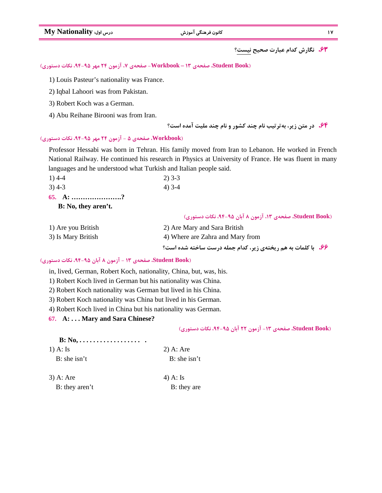**17 كانون فرهنگي آموزش درس اول: Nationality My**

**.63 نگارش كدام عبارت صحيح نيست؟**

**(Book Student، صفحه ي 13 – Workbook- صفحه ي ،7 آزمون 24 مهر ،94-95 نكات دستوري)**

1) Louis Pasteur's nationality was France.

2) Iqbal Lahoori was from Pakistan.

3) Robert Koch was a German.

4) Abu Reihane Birooni was from Iran.

**.64 در متن زير، به ترتيب نام چند كشور و نام چند مليت آمده است؟** 

#### **(Workbook، صفحه ي 5 - آزمون 24 مهر ،94-95 نكات دستوري)**

Professor Hessabi was born in Tehran. His family moved from Iran to Lebanon. He worked in French National Railway. He continued his research in Physics at University of France. He was fluent in many languages and he understood what Turkish and Italian people said.

| $1)$ 4-4 | $2)$ 3-3 |
|----------|----------|
| $3)$ 4-3 | $4)$ 3-4 |

65. A: 
$$
\dots
$$

 **B: No, they aren't.**

|  |  | (Student Book، صفحهی ۱۳، آزمون ۸ آبان ۹۵-۹۴، نکات دستوری) |
|--|--|-----------------------------------------------------------|
|--|--|-----------------------------------------------------------|

| 1) Are you British | 2) Are Mary and Sara British                                        |
|--------------------|---------------------------------------------------------------------|
| 3) Is Mary British | 4) Where are Zahra and Mary from                                    |
|                    | <b>۶۶. با کلمات به هم ریختهی زیر، کدام جمله درست ساخته شده است؟</b> |

#### **(Book Student، صفحه ي 13 - آزمون 8 آبان ،94-95 نكات دستوري)**

in, lived, German, Robert Koch, nationality, China, but, was, his.

1) Robert Koch lived in German but his nationality was China.

2) Robert Koch nationality was German but lived in his China.

3) Robert Koch nationality was China but lived in his German.

4) Robert Koch lived in China but his nationality was German.

**67. A: . . . Mary and Sara Chinese?**

**(Book Student، صفحه ي -13 آزمون 22 آبان ،94-95 نكات دستوري)**

| $B: No, \ldots, \ldots, \ldots, \ldots,$ |                |
|------------------------------------------|----------------|
| $1)$ A: Is                               | $2)$ A: Are    |
| $B:$ she isn't                           | $B:$ she isn't |
|                                          |                |

3) A: Are  $4)$  A: Is B: they aren't B: they are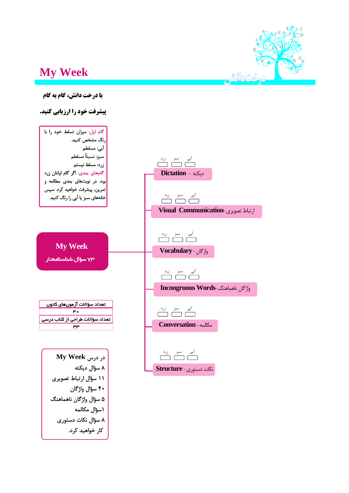

# **My Week**





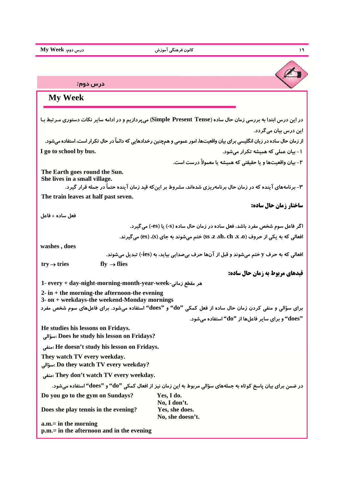ŗ درس دوم*:*  **My Week**در این درس ابتدا به بررسی زمان حال ساده (Simple Present Tense) می پردازیم و در ادامه سایر نکات دستوری مـر تبط بـا **اين درس بيان ميگردد.**  از زمان حال ساده در زبان انگلیسی برای بیان واقعیتها، امور عمومی و همچنین رخدادهایی که دائماً در حال تکرار است، استفاده میشود. **-1 بيان عملي كه هميشه تكرار ميشود. .bus by school to go I -2 بيان واقعيتها و يا حقيقتي كه هميشه يا معمولاً درست است. The Earth goes round the Sun. She lives in a small village.**  ۳– برنامههای آینده که در زمان حال برنامهریزی شدهاند، مشروط بر اینکه قید زمان آینده حتماً در جمله قرار گیرد. **The train leaves at half past seven. ساختار زمان حال ساده: فعل ساده + فاعل اگر فاعل سوم شخص مفرد باشد، فعل ساده در زمان حال ساده (s- (يا (es- (ميگيرد.**  افعالی که به یکی از حروف (ss ،z ،sh، ch ،x ،0) ختم می شوند به جای (s)، (es) می گیرند.  **washes , does** افعالي كه به حرف y ختم مي شوند و قبل از آنها حرف بي صدايي بيايد، به (ies-) تبديل مي شوند.  $try \rightarrow tries$  fly  $\rightarrow$  flies **قيدهاي مربوط به زمان حال ساده: 1- every + day-night-morning-month-year-week-زماني مقطع هر 2- in + the morning-the afternoon-the evening 3- on + weekdays-the weekend-Monday mornings**  برای سؤالی و منفی کردن زمان حال ساده از فعل کمکی "do" و "does" استفاده میشود. برای فاعلهای سوم شخص مفرد **"does "و براي ساير فاعلها از "do "استفاده ميشود. He studies his lessons on Fridays. سؤالي: Does he study his lesson on Fridays? منفي: He doesn't study his lesson on Fridays. They watch TV every weekday. سؤالي: Do they watch TV every weekday? منفي: They don't watch TV every weekday.**  در ضمن برای بیان پاسخ کوتاه به جملههای سؤالی مربوط به این زمان نیز از افعال کمکی ''do'' و ''does'' استفاده می شود. **Do you go to the gym on Sundays? Yes, I do. No, I don't. Does she play tennis in the evening? Yes, she does. No, she doesn't. a.m.= in the morning p.m.= in the afternoon and in the evening**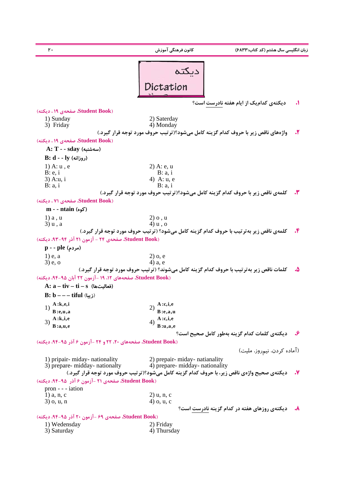**زبان انگليسي سال هشتم (كد كتاب6833:) كانون فرهنگي آموزش 20**  دىكتە Dictation  **.1 ديكتهي كداميك از ايام هفته نادرست است؟ (Book Student، صفحهي 19 ، ديكته)** 1) Sunday 2) Saterday<br>3) Friday 4) Monday 4) Monday **.2 واژههاي ناقص زير با حروف كدام گزينه كامل ميشود؟(ترتيب حروف مورد توجه قرار گيرد.) (Book Student، صفحهي 19 ، ديكته) A: T - - sday ( سهشنبه( B: d - - ly (روزانه(** 1) A: u, e 2) A: e, u<br>B: e, i B: a, i B: a, i  $B: a, i$ 3) A:u, i 4) A: u, e B: a, i B: a, i **.3 كلمهي ناقص زير با حروف كدام گزينه كامل ميشود؟(ترتيب حروف مورد توجه قرار گيرد.) (Book Student، صفحهي 71 ، ديكته) m - - ntain (كوه(** 1) a , u  $2)$  o , u  $3)$  u , a  $4)$  u , o  $3)$  u , a **.4 كلمهي ناقص زير بهترتيب با حروف كدام گزينه كامل ميشود؟ (ترتيب حروف مورد توجه قرار گيرد.) (Book Student، صفحهي 24 - آزمون 21 آذر -94 ،93 ديكته) p - - ple ( مردم(** 1) e, a  $2)$  o, e  $3)$  e, o 4) a, e **.5 كلمات ناقص زير بهترتيب با حروف كدام گزينه كامل ميشوند؟ (ترتيب حروف مورد توجه قرار گيرد.) (Book Student، صفحههاي ،12 19 - آزمون 22 آبان ،94-95 ديكته) A: a – tiv – ti – s ( فعاليتها( B: b – – – tiful** ( **زيبا**( 1) **A :k,e,i B** :e,u,a  $2)$   $\frac{A : c, i, e}{B : e, a, u}$ **B :a,u,e** 4) **A :c,i,e** 3) **A :k,i,e B :u,a,e .6 ديكتهي كلمات كدام گزينه بهطور كامل صحيح است؟ (Book Student، صفحههاي ،20 22 و 24 -آزمون 6 آذر ،94-95 ديكته)** (آماده كردن، نيمروز، مليت) 1) pripair- miday- nationality 2) prepair- miday- natianality  $3)$  prepare- midday- nationality  $4)$  prepare- midday- nationality **۷.** دیکتهی صحیح واژهی ناقص زیر، با حروف کدام گزینه کامل میشود؟(تر تیب حروف مورد توجه قرار گیرد.) **(Book Student، صفحهي 21 -آزمون 6 آذر -95 ،94 ديكته)** pron - - - iation 1) a, n, c 2) u, n, c 2) u, n, c  $(3)$  o, u, n  $(4)$  o, u, c **.8 ديكتهي روزهاي هفته در كدام گزينه نادرست است؟ (Book Student، صفحهي 69 - آزمون 20 آذر -95 ،94 ديكته)** 1) Wedensday 2) Friday 3) Saturday 4) Thursday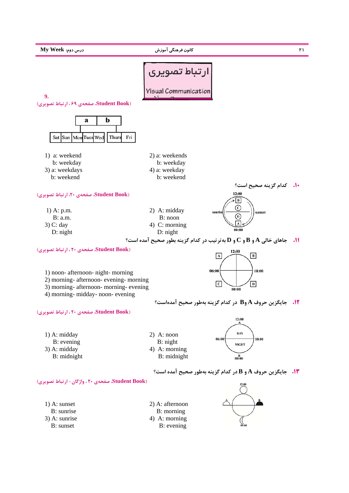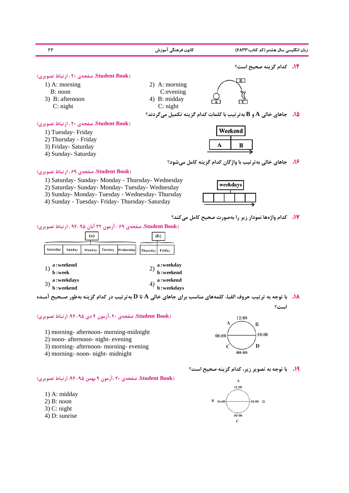| ۲۲                                                | كانون فرهنگى آموزش | زبان انگلیسی سال هشتم (کد کتاب:۶۸۳۳)                                                    |
|---------------------------------------------------|--------------------|-----------------------------------------------------------------------------------------|
|                                                   |                    | <b>۱۴.</b> کدام گزینه صحیح است؟                                                         |
| (Student Book، صفحهی ۲۰، ارتباط تصویری)           |                    |                                                                                         |
| $1)$ A: morning                                   | 2) A: morning      |                                                                                         |
| $B:$ noon                                         | $C$ : evening      |                                                                                         |
| 3) B: afternoon                                   | 4) B: midday       |                                                                                         |
| $C:$ night                                        | $C:$ night         |                                                                                         |
|                                                   |                    | ه جاهای خالی $\bf{A}$ و $\bf{B}$ به تر تیب با کلمات کدام گزینه تکمیل می گردند؟ $\bf{A}$ |
| (Student Book، صفحهی ۲۰، ارتباط تصویری)           |                    |                                                                                         |
| 1) Tuesday- Friday                                |                    | Weekend                                                                                 |
| 2) Thursday - Friday                              |                    |                                                                                         |
| 3) Friday- Saturday                               |                    | в<br>A                                                                                  |
| 4) Sunday- Saturday                               |                    |                                                                                         |
|                                                   |                    | <b>۱۶.   جاهای خالی به تر تیب با واژگان کدام گزینه کامل می شود؟</b>                     |
| (Student Book، صفحهی ۶۹، ارتباط تصویری)           |                    |                                                                                         |
| 1) Saturday- Sunday- Monday - Thursday- Wednesday |                    |                                                                                         |
| 2) Saturday- Sunday- Monday- Tuesday- Wednesday   |                    | weekdays                                                                                |
| 3) Sunday- Monday- Tuesday - Wednesday- Thursday  |                    |                                                                                         |
| 4) Sunday - Tuesday- Friday- Thursday- Saturday   |                    |                                                                                         |

**.17 كدام واژهها نمودار زير را بهصورت صحيح كامل ميكند؟**

**(Book Student، صفحهي 69 - آزمون 22 آبان 94-95 ، ارتباط تصويري)**

|                      |                                                    | $\cdots$ |         |           | ,,,                                                               |
|----------------------|----------------------------------------------------|----------|---------|-----------|-------------------------------------------------------------------|
| Saturday             | Sunday                                             | Monday   | Tuesday | Wednesday | Thursday<br>Fridav                                                |
| <b>b</b> :week<br>3) | ${\bf a}$ : weekend<br>a : weekdays<br>b : weekend |          |         |           | a : weekday<br>b : weekend<br>2)<br>a:weekend<br>4)<br>b:weekdays |

<sup>1</sup>۸. با توجه به ترتیب حروف الفبا، کلمههای مناسب برای جاهای خالی A تا D بهترتیب در کدام گزینه بهطور صـحیح آمـده **است؟**

#### **(Book Student، صفحهي 20 ،آزمون 4 دي -95 ،94 ارتباط تصويري)**

- 1) morning- afternoon- morning-midnight
- 2) noon- afternoon- night- evening
- 3) morning- afternoon- morning- evening
- 4) morning- noon- night- midnight



#### **.19 با توجه به تصوير زير، كدام گزينه صحيح است؟**



#### **(Book Student، صفحهي 20 ،آزمون 9 بهمن -95 ،94 ارتباط تصويري)**

- 1) A: midday
- 2) B: noon
- 3) C: night
- 4) D: sunrise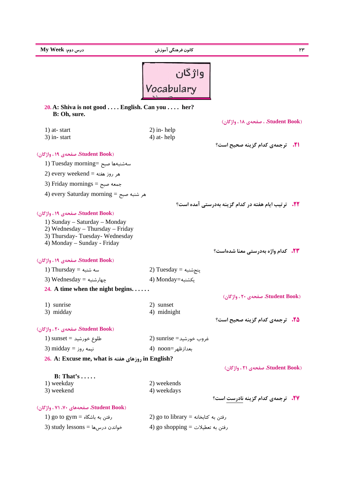| $My$ Week مرس دوم:                                                                                                                | كانون فرهنگى آموزش                       | ۲۳                                                         |
|-----------------------------------------------------------------------------------------------------------------------------------|------------------------------------------|------------------------------------------------------------|
|                                                                                                                                   | واژگان<br>Vocabulary                     |                                                            |
|                                                                                                                                   |                                          |                                                            |
| 20. A: Shiva is not good $\ldots$ . English. Can you $\ldots$ her?<br>B: Oh, sure.                                                |                                          |                                                            |
|                                                                                                                                   |                                          | (Student Book، صفحهی ۱۸، واژگان)                           |
| 1) at-start                                                                                                                       | $2)$ in-help                             |                                                            |
| $3)$ in-start                                                                                                                     | $4)$ at-help                             | <b>11.</b> ترجمهى كدام گزينه صحيح است؟                     |
| (Student Book، صفحهی ۱۹، واژگان)                                                                                                  |                                          |                                                            |
| 1) Tuesday morning= سەشنبەھا صبح                                                                                                  |                                          |                                                            |
| 2) every weekend = هر روز هفته                                                                                                    |                                          |                                                            |
|                                                                                                                                   |                                          |                                                            |
| 3) Friday mornings = جمعه صبح                                                                                                     |                                          |                                                            |
| 4) every Saturday morning = هر شنبه صبح                                                                                           |                                          |                                                            |
|                                                                                                                                   |                                          | <b>۲۲.</b> ترتیب ایام هفته در کدام گزینه بهدرستی آمده است؟ |
| (Student Book، صفحهی ۱۹، واژگان)                                                                                                  |                                          |                                                            |
| 1) Sunday – Saturday – Monday<br>2) Wednesday – Thursday – Friday<br>3) Thursday-Tuesday-Wednesday<br>4) Monday – Sunday - Friday |                                          |                                                            |
|                                                                                                                                   |                                          | <b>۲۳.</b> کدام واژه بهدرستی معنا شدهاست؟                  |
| (Student Book، صفحهی ۱۹، واژگان)                                                                                                  |                                          |                                                            |
| 1) Thursday = سه شنبه                                                                                                             | $2)$ Tuesday = پنج شنبه                  |                                                            |
| 3) Wednesday = جهارشنبه                                                                                                           | 4) Monday=ئكشنبه                         |                                                            |
| 24. A time when the night begins. $\dots$ .                                                                                       |                                          |                                                            |
|                                                                                                                                   |                                          | (Student Book، صفحهی ۲۰، واژگان)                           |
| 1) sunrise                                                                                                                        | 2) sunset                                |                                                            |
| 3) midday                                                                                                                         | 4) midnight                              | <b>۲۵.</b> ترجمهی کدام گزینه صحیح است؟                     |
| (Student Book، صفحهی ۲۰، واژگان)                                                                                                  |                                          |                                                            |
|                                                                                                                                   | $2)$ sunrise $=$ غروب خورشید             |                                                            |
| طلوع خورشید = sunset (1                                                                                                           |                                          |                                                            |
| 3) midday = نیمه روز                                                                                                              | 4) noon= بعدازظهر                        |                                                            |
| 26. A: Excuse me, what is روزهای هفته) in English?                                                                                |                                          |                                                            |
| B: That's                                                                                                                         |                                          | (Student Book، صفحهی ۲۱ ، واژگان)                          |
| 1) weekday                                                                                                                        | 2) weekends                              |                                                            |
| 3) weekend                                                                                                                        | 4) weekdays                              |                                                            |
|                                                                                                                                   |                                          | <b>37.</b> ترجمهی کدام گزینه نادرست است؟                   |
| (Student Book، صفحههای ۷۰، ۷۱ ، واژگان)                                                                                           |                                          |                                                            |
| $1)$ go to gym = رفتن به باشگاه                                                                                                   | رفتن به كتابخانه $\text{for any} = 2$ (2 |                                                            |
| 3) study lessons = خواندن درسها                                                                                                   | 4) go shopping = رفتن به تعطیلات         |                                                            |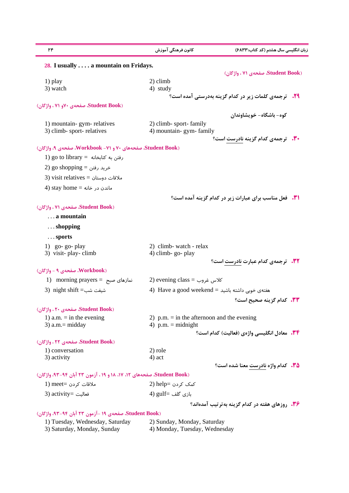| ۲۴                                                                   | کانون فرهنگی آموزش                              | ِبان انگلیسی سال هشتم (کد کتاب:۶۸۳۳)                          |
|----------------------------------------------------------------------|-------------------------------------------------|---------------------------------------------------------------|
| 28. I usually $\dots$ a mountain on Fridays.                         |                                                 |                                                               |
|                                                                      |                                                 | (Student Book، صفحهی ۷۱ ، واژگان)                             |
| 1) play                                                              | 2) climb                                        |                                                               |
| 3) watch                                                             | 4) study                                        |                                                               |
|                                                                      |                                                 | 79. ترجمهی کلمات زیر در کدام گزینه بهدرستی آمده است؟          |
| (Student Book، صفحهی ۷۰و ۷۱ ، واژگان)                                |                                                 |                                                               |
|                                                                      |                                                 | کوه– باشگاه– خویشاوندان                                       |
| 1) mountain-gym-relatives                                            | 2) climb-sport-family                           |                                                               |
| 3) climb-sport-relatives                                             | 4) mountain- gym- family                        |                                                               |
|                                                                      |                                                 | <b>۰۳۰ ترجمهی کدام گزینه نادرست است؟</b>                      |
| Student Book)، صفحههای ۷۰ و (۷۱- Workbook، صفحهی ۹، واژگان)          |                                                 |                                                               |
| 1) go to library = رفتن به كتابخانه $\cos$                           |                                                 |                                                               |
| 2) go shopping = خرید رفتن                                           |                                                 |                                                               |
| 3) visit relatives = ملاقات دوستان                                   |                                                 |                                                               |
| 4) stay home = ماندن در خانه                                         |                                                 |                                                               |
|                                                                      |                                                 | <b>۰۳۱.</b> فعل مناسب برای عبارات زیر در کدام گزینه آمده است؟ |
| (Student Book، صفحهی ۷۱، واژگان)                                     |                                                 |                                                               |
| a mountain                                                           |                                                 |                                                               |
|                                                                      |                                                 |                                                               |
| $\ldots$ shopping                                                    |                                                 |                                                               |
| $\ldots$ sports                                                      |                                                 |                                                               |
| 1) go-go-play                                                        | 2) climb- watch - relax                         |                                                               |
| 3) visit-play-climb                                                  | 4) climb-go-play                                |                                                               |
|                                                                      |                                                 | <b>32. ترجمهی کدام عبارت نادرست است؟</b>                      |
| (Workbook، صفحهی ۹ - واژگان)                                         |                                                 |                                                               |
| 1) morning prayers = نمازهای صبح                                     | 2) evening class = كلاس غروب                    |                                                               |
| 3) night shift =شيفت شب                                              | 4) Have a good weekend = هفتهى خوبى داشته باشيد |                                                               |
|                                                                      |                                                 | <b>٣٣.</b> كدام گزينه صحيح است؟                               |
| (Student Book، صفحهی ۲۰، واژگان)                                     |                                                 |                                                               |
| 1) a.m. $=$ in the evening                                           | 2) p.m. $=$ in the afternoon and the evening    |                                                               |
| $3)$ a.m.= midday                                                    | 4) $p.m. = midnight$                            |                                                               |
|                                                                      |                                                 | <b>۳۴.</b> معادل انگلیسی واژهی (فعالیت) کدام است؟             |
| (Student Book، صفحهی ۲۲ ، واژگان)                                    |                                                 |                                                               |
| 1) conversation                                                      | 2) role                                         |                                                               |
| 3) activity                                                          | 4) act                                          | <b>۳۵.</b> کدام واژه نادرست معنا شده است؟                     |
| Student Book)، صفحههای ۱۲، ۱۷، ۱۸ و ۱۹، آزمون ۲۳ آبان ۹۴-۹۳، واژگان) |                                                 |                                                               |
|                                                                      |                                                 |                                                               |
| 1) meet= كردن                                                        | کمک کردن =help (2                               |                                                               |
| 3) activity= فعاليت                                                  | بازی گلف =gulf (4                               |                                                               |
|                                                                      |                                                 | <b>۳۶.</b> روزهای هفته در کدام گزینه به تر تیب آمدهاند؟       |
| Student Book) صفحهی ۱۹ -آزمون ۲۳ آبان ۹۴-۹۳، واژگان)                 |                                                 |                                                               |
| 1) Tuesday, Wednesday, Saturday                                      | 2) Sunday, Monday, Saturday                     |                                                               |

3) Saturday, Monday, Sunday 4) Monday, Tuesday, Wednesday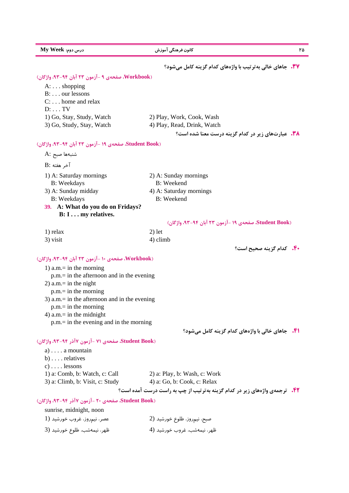| Aly Week :درس دوم                                    | كانون فرهنگى آموزش<br>۲۵                                                         |
|------------------------------------------------------|----------------------------------------------------------------------------------|
|                                                      | <b>۳۷.</b> جاهای خالی به تر تیب با واژههای کدام گزینه کامل می شود؟               |
| (Workbook، صفحهی ۹ -آزمون ۲۳ آبان ۹۴-۹۳، واژگان)     |                                                                                  |
| $A: \ldots$ shopping                                 |                                                                                  |
| B: our lessons                                       |                                                                                  |
| $C: \ldots$ home and relax                           |                                                                                  |
| $D: \ldots TV$                                       |                                                                                  |
| 1) Go, Stay, Study, Watch                            | 2) Play, Work, Cook, Wash                                                        |
| 3) Go, Study, Stay, Watch                            | 4) Play, Read, Drink, Watch                                                      |
|                                                      | <b>۳۸. عبارتهای زیر در کدام گزینه درست معنا شده است؟</b>                         |
| Student Book) صفحهی ۱۹ -آزمون ۲۳ آبان ۹۴-۹۳، واژگان) |                                                                                  |
| شنبهها صبح :A                                        |                                                                                  |
| آخر هفته :B                                          |                                                                                  |
| 1) A: Saturday mornings                              | 2) A: Sunday mornings                                                            |
| <b>B</b> : Weekdays                                  | <b>B</b> : Weekend                                                               |
| 3) A: Sunday midday                                  | 4) A: Saturday mornings                                                          |
| <b>B</b> : Weekdays                                  | <b>B:</b> Weekend                                                                |
| A: What do you do on Fridays?<br><b>39.</b>          |                                                                                  |
| B: I my relatives.                                   |                                                                                  |
|                                                      | Student Book) صفحهی ۱۹ -آزمون ۲۳ آبان ۹۴-۹۳، واژگان)                             |
| 1) relax                                             | $2)$ let                                                                         |
| 3) visit                                             | 4) climb                                                                         |
|                                                      | <b>۴۰. کدام گزینه صحیح است؟</b>                                                  |
| (Workbook، صفحهی ١٠ -آزمون ٢٣ آبان ٩٤-٩٣، واژگان)    |                                                                                  |
| 1) a.m.= in the morning                              |                                                                                  |
| $p.m. = in the afternoon and in the evening$         |                                                                                  |
| 2) a.m.= in the night                                |                                                                                  |
| $p.m = in the morning$                               |                                                                                  |
| 3) $a.m.=$ in the afternoon and in the evening       |                                                                                  |
| $p.m = in the morning$                               |                                                                                  |
| 4) $a.m = in the midnight$                           |                                                                                  |
| $p.m. = in the evening and in the morning$           |                                                                                  |
|                                                      | <b>ا۴.</b> جاهای خالی با واژههای کدام گزینه کامل میشود؟                          |
| Student Book)، صفحهی ۷۱ -آزمون ۷آذر ۹۴-۹۳، واژگان)   |                                                                                  |
| $a) \ldots a$ mountain                               |                                                                                  |
| $b) \ldots$ relatives                                |                                                                                  |
| $c) \ldots$ lessons                                  |                                                                                  |
| 1) a: Comb, b: Watch, c: Call                        | 2) a: Play, b: Wash, c: Work                                                     |
| 3) a: Climb, b: Visit, c: Study                      | 4) a: Go, b: Cook, c: Relax                                                      |
|                                                      | <b>۴۲.</b> ترجمهی واژههای زیر در کدام گزینه بهترتیب از چپ به راست درست آمده است؟ |
| Student Book) صفحهی ۲۰ -آزمون ۷آذر ۹۴-۹۳، واژگان)    |                                                                                  |
| sunrise, midnight, noon                              |                                                                                  |
| عصر، نیمروز، غروب خورشید (1                          | صبح، نیمروز، طلوع خورشید (2                                                      |
| ظهر، نيمهشب، طلوع خورشيد (3                          | ظهر، نيمەشب، غروب خورشيد (4                                                      |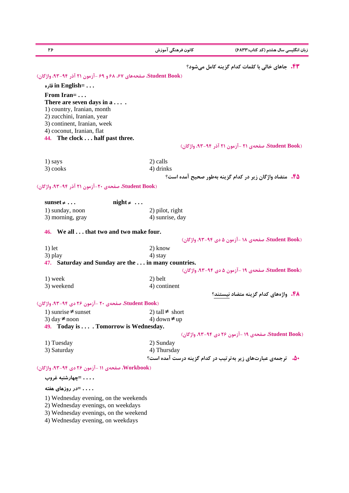**زبان انگليسي سال هشتم (كد كتاب6833:) كانون فرهنگي آموزش 26 .43 جاهاي خالي با كلمات كدام گزينه كامل ميشود؟ (Book Student، صفحههاي ،67 68 و 69 -آزمون 21 آذر -94 ،93 واژگان) قاره in English= . . . From Iran= . . . There are seven days in a . . . .**  1) country, Iranian, month 2) zucchini, Iranian, year 3) continent, Iranian, week 4) coconut, Iranian, flat **44. The clock . . . half past three. (Book Student، صفحهي 21 - آزمون 21 آذر -94 ،93 واژگان)** 1) says 2) calls  $3) \text{ cooks}$  4) drinks **.45 متضاد واژگان زير در كدام گزينه بهطور صحيح آمده است؟ (Book Student، صفحهي -20 آزمون 21 آذر ،93-94 واژگان)**  $\text{sunset} \neq \ldots$   $\text{ni} \geq \text{ht} \neq \ldots$ 1) sunday, noon 2) pilot, right 3) morning, gray 4) sunrise, day **46. We all . . . that two and two make four. (Book Student، صفحهي 18 -آزمون 5 دي -94 ،93 واژگان)** 1) let  $2)$  know  $3)$  play  $4)$  stay **47. Saturday and Sunday are the . . . in many countries. (Book Student، صفحهي 19 - آزمون 5 دي -94 ،93 واژگان)** 1) week 2) belt 3) weekend 4) continent **.48 واژههاي كدام گزينه متضاد نيستند؟ (Book Student، صفحهي 20 -آزمون 26 دي ،93-94 واژگان)** 1) sunrise  $\neq$  sunset 2) tall  $\neq$  short 3) day  $\neq$  noon 4) down  $\neq$  up **49. Today is . . . . Tomorrow is Wednesday. (Book Student، صفحهي 19 -آزمون 26 دي ،93-94 واژگان)** 1) Tuesday 2) Sunday 3) Saturday 4) Thursday **.50 ترجمهي عبارتهاي زير بهترتيب در كدام گزينه درست آمده است؟ (Workbook، صفحهي 11 -آزمون 26 دي ،93-94 واژگان) . . . . =چهارشنبه غروب . . . . =در روزهاي هفته** 1) Wednesday evening, on the weekends 2) Wednesday evenings, on weekdays

3) Wednesday evenings, on the weekend

4) Wednesday evening, on weekdays